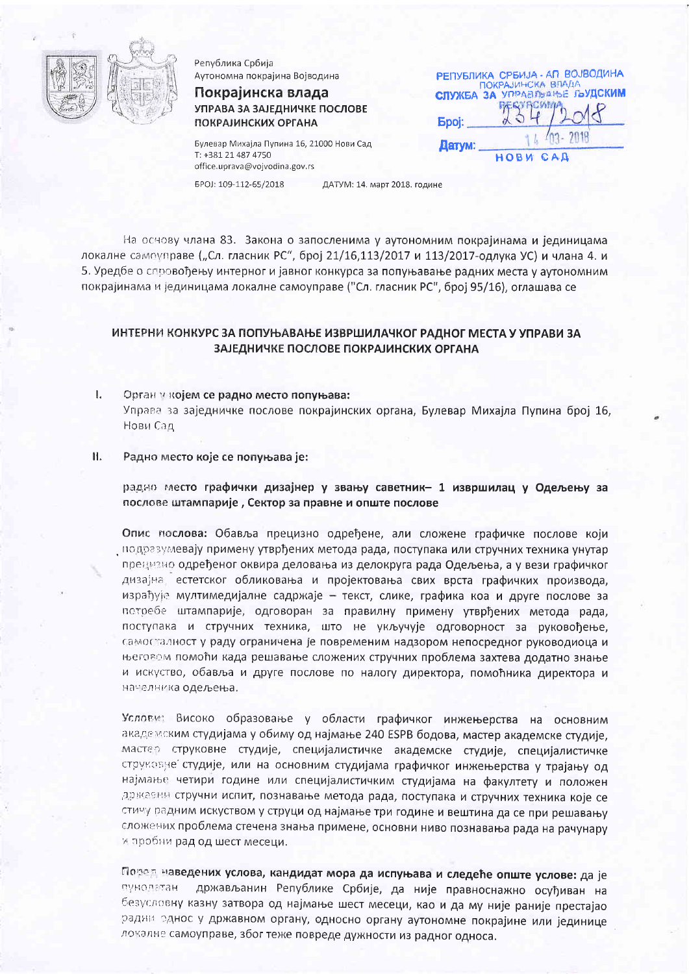

Република Србија Аутономна покрајина Војводина

Покрајинска влада УПРАВА ЗА ЗАЈЕДНИЧКЕ ПОСЛОВЕ **ПОКРАЈИНСКИХ ОРГАНА** 

Булевар Михајла Пупина 16, 21000 Нови Сад T: +381 21 487 4750 office.uprava@vojvodina.gov.rs

РЕПУБЛИКА СРБИЈА - АП ВОЈВОДИНА ПОКРАЈИНСКА ВЛАД **СЛУЖБА ЗА УПРАВЛЬАНЬЕ ГЪУДСКИМ Epoi:** Датум: HOBM C

EPOJ: 109-112-65/2018

ДАТУМ: 14. март 2018. године

На основу члана 83. Закона о запосленима у аутономним покрајинама и јединицама локалне самоуправе ("Сл. гласник РС", број 21/16,113/2017 и 113/2017-одлука УС) и члана 4. и 5. Уредбе о спровођењу интерног и јавног конкурса за попуњавање радних места у аутономним покрајинама и јединицама локалне самоуправе ("Сл. гласник РС", број 95/16), оглашава се

# ИНТЕРНИ КОНКУРС ЗА ПОПУЊАВАЊЕ ИЗВРШИЛАЧКОГ РАДНОГ МЕСТА У УПРАВИ ЗА ЗАЈЕДНИЧКЕ ПОСЛОВЕ ПОКРАЈИНСКИХ ОРГАНА

- $\mathbf{I}$ Орган у којем се радно место попуњава: Управа за заједничке послове покрајинских органа, Булевар Михајла Пупина број 16, Нови Сад
- Н. Радно место које се попуњава је:

радно место графички дизајнер у звању саветник- 1 извршилац у Одељењу за послове штампарије, Сектор за правне и опште послове

Опис послова: Обавља прецизно одређене, али сложене графичке послове који подразумевају примену утврђених метода рада, поступака или стручних техника унутар прецизно одређеног оквира деловања из делокруга рада Одељења, а у вези графичког дизајна, естетског обликовања и пројектовања свих врста графичких производа, израђује мултимедијалне садржаје - текст, слике, графика коа и друге послове за потребе штампарије, одговоран за правилну примену утврђених метода рада, поступака и стручних техника, што не укључује одговорност за руковођење, самосталност у раду ограничена је повременим надзором непосредног руководиоца и његовом помоћи када решавање сложених стручних проблема захтева додатно знање и искуство, обавља и друге послове по налогу директора, помоћника директора и начелника одељења.

Услови: Високо образовање у области графичког инжењерства на основним академским студијама у обиму од најмање 240 ESPB бодова, мастер академске студије, мастер струковне студије, специјалистичке академске студије, специјалистичке струковне студије, или на основним студијама графичког инжењерства у трајању од најмање четири године или специјалистичким студијама на факултету и положен државни стручни испит, познавање метода рада, поступака и стручних техника које се стичу радним искуством у струци од најмање три године и вештина да се при решавању сложених проблема стечена знања примене, основни ниво познавања рада на рачунару и пробни рад од шест месеци.

Поред наведених услова, кандидат мора да испуњава и следеће опште услове: да је пунолаты држављанин Републике Србије, да није правноснажно осуђиван на безусловну казну затвора од најмање шест месеци, као и да му није раније престајао радии однос у државном органу, односно органу аутономне покрајине или јединице локалне самоуправе, због теже повреде дужности из радног односа.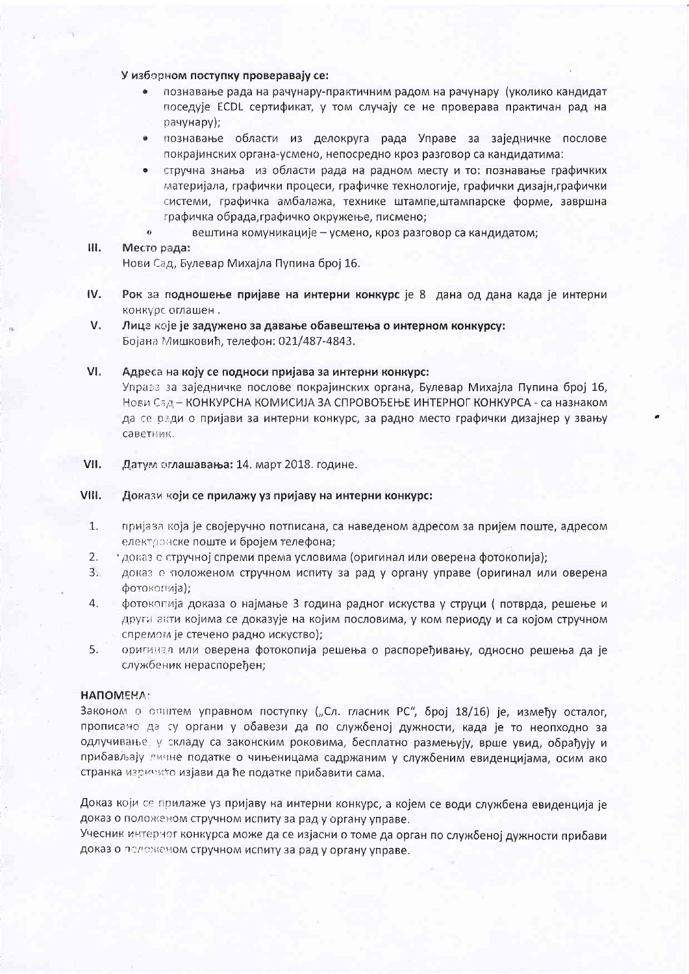### У изборном поступку проверавају се:

- познавање рада на рачунару-практичним радом на рачунару (уколико кандидат поседује ECDL сертификат, у том случају се не проверава практичан рад на payyhapy);
- познавање области из делокруга рада Управе за заједничке послове  $\bullet$ покрајинских органа-усмено, непосредно кроз разговор са кандидатима:
- стручна знања из области рада на радном месту и то: познавање графичких  $\bullet$ материјала, графички процеси, графичке технологије, графички дизајн,графички системи, графичка амбалажа, технике штампе,штампарске форме, завршна графичка обрада, графичко окружење, писмено;
- $\ddot{\mathbf{e}}$ вештина комуникације - усмено, кроз разговор са кандидатом;

### Ш. Место рада:

Нови Сад, Булевар Михајла Пупина број 16.

- IV. Рок за подношење пријаве на интерни конкурс је 8 дана од дана када је интерни конкурс оглашен.
- $V_{\rm s}$ Лице које је задужено за давање обавештења о интерном конкурсу: Бојана Мишковић, телефон: 021/487-4843.

#### $VI.$ Адреса на коју се подноси пријава за интерни конкурс:

Управа за заједничке послове покрајинских органа, Булевар Михајла Пупина број 16, Нови Сад - КОНКУРСНА КОМИСИЈА ЗА СПРОВОЂЕЊЕ ИНТЕРНОГ КОНКУРСА - са назнаком да се ради о пријави за интерни конкурс, за радно место графички дизајнер у звању саветник.

VII. Датум сглашавања: 14. март 2018. године.

#### VIII. Докази који се прилажу уз пријаву на интерни конкурс:

- 1. пријаза која је својеручно потписана, са наведеном адресом за пријем поште, адресом електронске поште и бројем телефона;
- $2.$ рдоказ о стручној спреми према условима (оригинал или оверена фотокопија);
- $\overline{3}$ . доказ о положеном стручном испиту за рад у органу управе (оригинал или оверена фотокопија);
- 4. фотоколија доказа о најмање 3 година радног искуства у струци (потврда, решење и други акти којима се доказује на којим пословима, у ком периоду и са којом стручном спремом је стечено радно искуство);
- 5. оригинал или оверена фотокопија решења о распоређивању, односно решења да је службеник нераспоређен;

## **ΗΑΠΟΜΕΝΑ:**

Законом о општем управном поступку ("Сл. гласник РС", број 18/16) је, између осталог, прописано да су органи у обавези да по службеној дужности, када је то неопходно за одлучивање, у складу са законским роковима, бесплатно размењују, врше увид, обрађују и прибављају личне податке о чињеницама садржаним у службеним евиденцијама, осим ако странка изричито изјави да ће податке прибавити сама.

Доказ који се прилаже уз пријаву на интерни конкурс, а којем се води службена евиденција је доказ о положеном стручном испиту за рад у органу управе.

Учесник интерног конкурса може да се изјасни о томе да орган по службеној дужности прибави доказ о положеном стручном испиту за рад у органу управе.